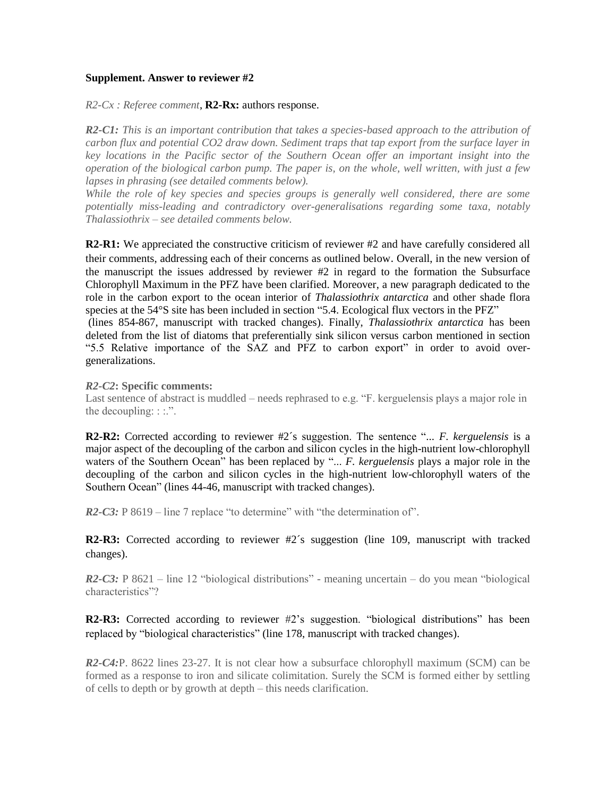## **Supplement. Answer to reviewer #2**

*R2-Cx : Referee comment*, **R2-Rx:** authors response.

*R2-C1: This is an important contribution that takes a species-based approach to the attribution of carbon flux and potential CO2 draw down. Sediment traps that tap export from the surface layer in key locations in the Pacific sector of the Southern Ocean offer an important insight into the operation of the biological carbon pump. The paper is, on the whole, well written, with just a few lapses in phrasing (see detailed comments below).*

*While the role of key species and species groups is generally well considered, there are some potentially miss-leading and contradictory over-generalisations regarding some taxa, notably Thalassiothrix – see detailed comments below.* 

**R2-R1:** We appreciated the constructive criticism of reviewer #2 and have carefully considered all their comments, addressing each of their concerns as outlined below. Overall, in the new version of the manuscript the issues addressed by reviewer #2 in regard to the formation the Subsurface Chlorophyll Maximum in the PFZ have been clarified. Moreover, a new paragraph dedicated to the role in the carbon export to the ocean interior of *Thalassiothrix antarctica* and other shade flora species at the 54°S site has been included in section "5.4. Ecological flux vectors in the PFZ" (lines 854-867, manuscript with tracked changes). Finally, *Thalassiothrix antarctica* has been deleted from the list of diatoms that preferentially sink silicon versus carbon mentioned in section "5.5 Relative importance of the SAZ and PFZ to carbon export" in order to avoid overgeneralizations.

## *R2-C2***: Specific comments:**

Last sentence of abstract is muddled – needs rephrased to e.g. "F. kerguelensis plays a major role in the decoupling: : :.".

**R2-R2:** Corrected according to reviewer #2's suggestion. The sentence "... *F. kerguelensis* is a major aspect of the decoupling of the carbon and silicon cycles in the high-nutrient low-chlorophyll waters of the Southern Ocean" has been replaced by "... *F. kerguelensis* plays a major role in the decoupling of the carbon and silicon cycles in the high-nutrient low-chlorophyll waters of the Southern Ocean" (lines 44-46, manuscript with tracked changes).

*R2-C3:* P 8619 – line 7 replace "to determine" with "the determination of".

**R2-R3:** Corrected according to reviewer #2´s suggestion (line 109, manuscript with tracked changes).

*R2-C3:* P 8621 – line 12 "biological distributions" - meaning uncertain – do you mean "biological" characteristics"?

**R2-R3:** Corrected according to reviewer #2's suggestion. "biological distributions" has been replaced by "biological characteristics" (line 178, manuscript with tracked changes).

*R2-C4:P.* 8622 lines 23-27. It is not clear how a subsurface chlorophyll maximum (SCM) can be formed as a response to iron and silicate colimitation. Surely the SCM is formed either by settling of cells to depth or by growth at depth – this needs clarification.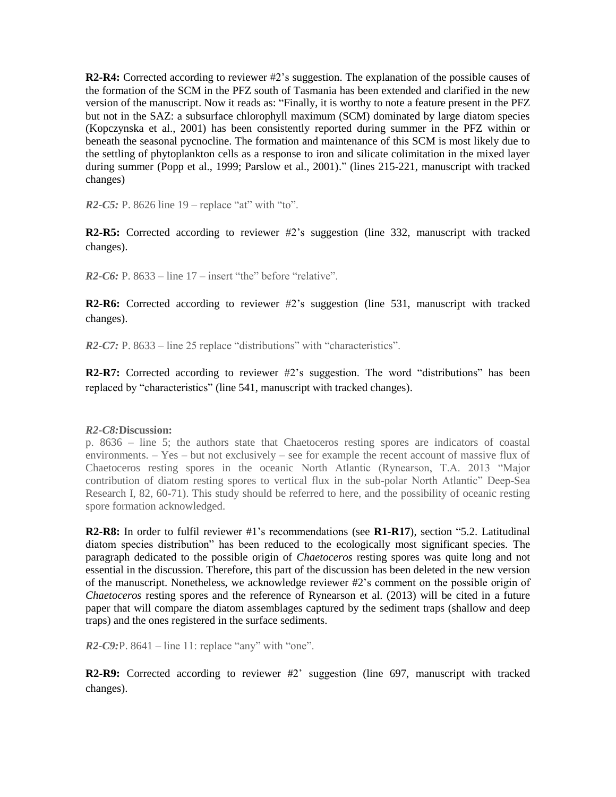**R2-R4:** Corrected according to reviewer #2's suggestion. The explanation of the possible causes of the formation of the SCM in the PFZ south of Tasmania has been extended and clarified in the new version of the manuscript. Now it reads as: "Finally, it is worthy to note a feature present in the PFZ but not in the SAZ: a subsurface chlorophyll maximum (SCM) dominated by large diatom species (Kopczynska et al., 2001) has been consistently reported during summer in the PFZ within or beneath the seasonal pycnocline. The formation and maintenance of this SCM is most likely due to the settling of phytoplankton cells as a response to iron and silicate colimitation in the mixed layer during summer (Popp et al., 1999; Parslow et al., 2001)." (lines 215-221, manuscript with tracked changes)

*R2-C5:* P. 8626 line 19 – replace "at" with "to".

**R2-R5:** Corrected according to reviewer #2's suggestion (line 332, manuscript with tracked changes).

 $R2-C6$ : P. 8633 – line  $17$  – insert "the" before "relative".

**R2-R6:** Corrected according to reviewer #2's suggestion (line 531, manuscript with tracked changes).

*R2-C7:* P. 8633 – line 25 replace "distributions" with "characteristics".

**R2-R7:** Corrected according to reviewer #2's suggestion. The word "distributions" has been replaced by "characteristics" (line 541, manuscript with tracked changes).

## *R2-C8:***Discussion:**

p. 8636 – line 5; the authors state that Chaetoceros resting spores are indicators of coastal environments. – Yes – but not exclusively – see for example the recent account of massive flux of Chaetoceros resting spores in the oceanic North Atlantic (Rynearson, T.A. 2013 "Major contribution of diatom resting spores to vertical flux in the sub-polar North Atlantic" Deep-Sea Research I, 82, 60-71). This study should be referred to here, and the possibility of oceanic resting spore formation acknowledged.

**R2-R8:** In order to fulfil reviewer #1's recommendations (see **R1-R17**), section "5.2. Latitudinal diatom species distribution" has been reduced to the ecologically most significant species. The paragraph dedicated to the possible origin of *Chaetoceros* resting spores was quite long and not essential in the discussion. Therefore, this part of the discussion has been deleted in the new version of the manuscript. Nonetheless, we acknowledge reviewer #2's comment on the possible origin of *Chaetoceros* resting spores and the reference of Rynearson et al. (2013) will be cited in a future paper that will compare the diatom assemblages captured by the sediment traps (shallow and deep traps) and the ones registered in the surface sediments.

*R2-C9:*P. 8641 – line 11: replace "any" with "one".

**R2-R9:** Corrected according to reviewer #2' suggestion (line 697, manuscript with tracked changes).